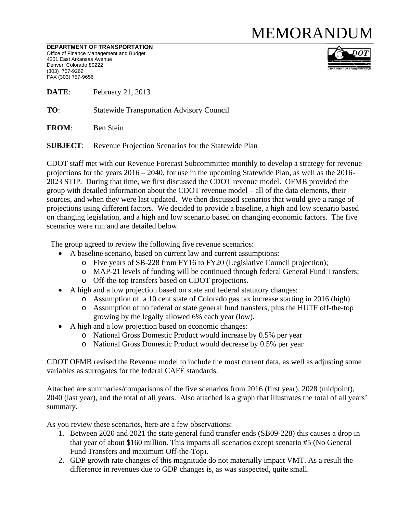## **MEMORANDUM**

DEPARTMENT OF TRANSPORTATION Office of Finance Management and Budget 4201 East Arkansas Avenue Denver, Colorado 80222 (303) 757-9262 FAX (303) 757-9656



DATE: February 21, 2013

TO: **Statewide Transportation Advisory Council** 

**FROM:** Ben Stein

**SUBJECT:** Revenue Projection Scenarios for the Statewide Plan

CDOT staff met with our Revenue Forecast Subcommittee monthly to develop a strategy for revenue projections for the years  $2016 - 2040$ , for use in the upcoming Statewide Plan, as well as the 2016-2023 STIP. During that time, we first discussed the CDOT revenue model. OFMB provided the group with detailed information about the CDOT revenue model  $-$  all of the data elements, their sources, and when they were last updated. We then discussed scenarios that would give a range of projections using different factors. We decided to provide a baseline, a high and low scenario based on changing legislation, and a high and low scenario based on changing economic factors. The five scenarios were run and are detailed below.

The group agreed to review the following five revenue scenarios:

- A baseline scenario, based on current law and current assumptions:
	- o Five years of SB-228 from FY16 to FY20 (Legislative Council projection);
	- o MAP-21 levels of funding will be continued through federal General Fund Transfers;
	- o Off-the-top transfers based on CDOT projections.
- A high and a low projection based on state and federal statutory changes:
	- o Assumption of a 10 cent state of Colorado gas tax increase starting in 2016 (high)
	- o Assumption of no federal or state general fund transfers, plus the HUTF off-the-top growing by the legally allowed 6% each year (low).
- A high and a low projection based on economic changes:
	- o National Gross Domestic Product would increase by 0.5% per year
	- o National Gross Domestic Product would decrease by 0.5% per year

CDOT OFMB revised the Revenue model to include the most current data, as well as adjusting some variables as surrogates for the federal CAFÉ standards.

Attached are summaries/comparisons of the five scenarios from 2016 (first year), 2028 (midpoint), 2040 (last year), and the total of all years. Also attached is a graph that illustrates the total of all years' summary.

As you review these scenarios, here are a few observations:

- 1. Between 2020 and 2021 the state general fund transfer ends (SB09-228) this causes a drop in that year of about \$160 million. This impacts all scenarios except scenario #5 (No General Fund Transfers and maximum Off-the-Top).
- 2. GDP growth rate changes of this magnitude do not materially impact VMT. As a result the difference in revenues due to GDP changes is, as was suspected, quite small.